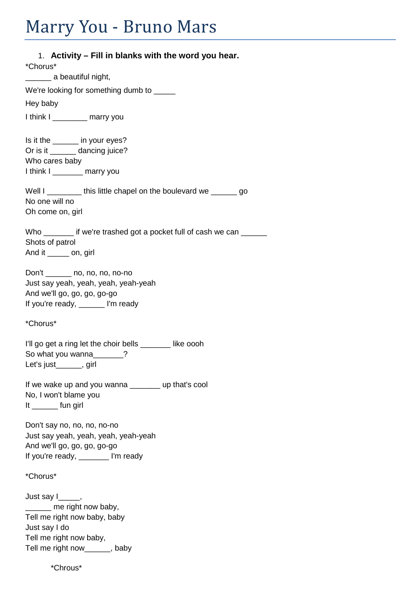## Marry You - Bruno Mars

| 1. Activity - Fill in blanks with the word you hear.<br>*Chorus*                                                                                                                                                                                                                                                                                                                                                                                                                                                                                                                            |
|---------------------------------------------------------------------------------------------------------------------------------------------------------------------------------------------------------------------------------------------------------------------------------------------------------------------------------------------------------------------------------------------------------------------------------------------------------------------------------------------------------------------------------------------------------------------------------------------|
| _______ a beautiful night,                                                                                                                                                                                                                                                                                                                                                                                                                                                                                                                                                                  |
| We're looking for something dumb to _____                                                                                                                                                                                                                                                                                                                                                                                                                                                                                                                                                   |
| Hey baby                                                                                                                                                                                                                                                                                                                                                                                                                                                                                                                                                                                    |
| I think I ___________ marry you                                                                                                                                                                                                                                                                                                                                                                                                                                                                                                                                                             |
|                                                                                                                                                                                                                                                                                                                                                                                                                                                                                                                                                                                             |
| Is it the _______ in your eyes?<br>Or is it _______ dancing juice?<br>Who cares baby                                                                                                                                                                                                                                                                                                                                                                                                                                                                                                        |
| I think I ________ marry you                                                                                                                                                                                                                                                                                                                                                                                                                                                                                                                                                                |
| Well I __________ this little chapel on the boulevard we ________ go<br>No one will no<br>Oh come on, girl                                                                                                                                                                                                                                                                                                                                                                                                                                                                                  |
| Who ________ if we're trashed got a pocket full of cash we can ______<br>Shots of patrol<br>And it _______ on, girl                                                                                                                                                                                                                                                                                                                                                                                                                                                                         |
| Don't ________ no, no, no, no-no<br>Just say yeah, yeah, yeah, yeah-yeah<br>And we'll go, go, go, go-go<br>If you're ready, ________ I'm ready                                                                                                                                                                                                                                                                                                                                                                                                                                              |
| *Chorus*                                                                                                                                                                                                                                                                                                                                                                                                                                                                                                                                                                                    |
| I'll go get a ring let the choir bells _______ like oooh<br>So what you wanna______?<br>Let's just______, girl                                                                                                                                                                                                                                                                                                                                                                                                                                                                              |
| If we wake up and you wanna _______ up that's cool<br>No, I won't blame you<br>It _______ fun girl                                                                                                                                                                                                                                                                                                                                                                                                                                                                                          |
| Don't say no, no, no, no-no<br>Just say yeah, yeah, yeah, yeah-yeah<br>And we'll go, go, go, go-go<br>If you're ready, ___________ I'm ready                                                                                                                                                                                                                                                                                                                                                                                                                                                |
| *Chorus*                                                                                                                                                                                                                                                                                                                                                                                                                                                                                                                                                                                    |
| Just say $I$ <sub>_____</sub> ,<br>me right now baby,<br>$\frac{1}{1-\frac{1}{1-\frac{1}{1-\frac{1}{1-\frac{1}{1-\frac{1}{1-\frac{1}{1-\frac{1}{1-\frac{1}{1-\frac{1}{1-\frac{1}{1-\frac{1}{1-\frac{1}{1-\frac{1}{1-\frac{1}{1-\frac{1}{1-\frac{1}{1-\frac{1}{1-\frac{1}{1-\frac{1}{1-\frac{1}{1-\frac{1}{1-\frac{1}{1-\frac{1}{1-\frac{1}{1-\frac{1}{1-\frac{1}{1-\frac{1}{1-\frac{1}{1-\frac{1}{1-\frac{1}{1-\frac{1}{1-\frac{1}{1-\frac{1}{1-\frac{1}{1-\frac{1}{1-\frac{1$<br>Tell me right now baby, baby<br>Just say I do<br>Tell me right now baby,<br>Tell me right now______, baby |

\*Chrous\*